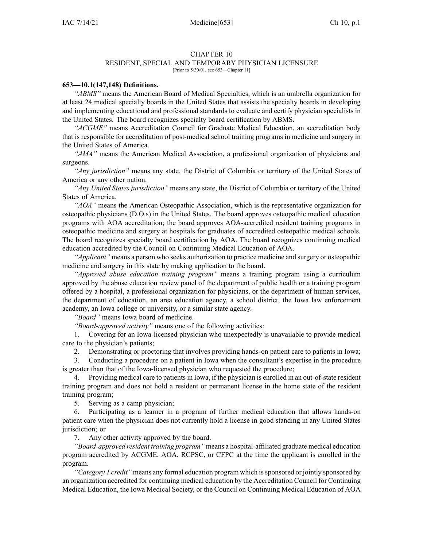#### CHAPTER 10

### RESIDENT, SPECIAL AND TEMPORARY PHYSICIAN LICENSURE

[Prior to 5/30/01, see 653—Chapter 11]

#### **653—10.1(147,148) Definitions.**

*"ABMS"* means the American Board of Medical Specialties, which is an umbrella organization for at least 24 medical specialty boards in the United States that assists the specialty boards in developing and implementing educational and professional standards to evaluate and certify physician specialists in the United States. The board recognizes specialty board certification by ABMS.

*"ACGME"* means Accreditation Council for Graduate Medical Education, an accreditation body that is responsible for accreditation of post-medical school training programs in medicine and surgery in the United States of America.

*"AMA"* means the American Medical Association, <sup>a</sup> professional organization of physicians and surgeons.

*"Any jurisdiction"* means any state, the District of Columbia or territory of the United States of America or any other nation.

*"Any United States jurisdiction"* means any state, the District of Columbia or territory of the United States of America.

*"AOA"* means the American Osteopathic Association, which is the representative organization for osteopathic physicians (D.O.s) in the United States. The board approves osteopathic medical education programs with AOA accreditation; the board approves AOA-accredited resident training programs in osteopathic medicine and surgery at hospitals for graduates of accredited osteopathic medical schools. The board recognizes specialty board certification by AOA. The board recognizes continuing medical education accredited by the Council on Continuing Medical Education of AOA.

*"Applicant"* means <sup>a</sup> person who seeks authorization to practice medicine and surgery or osteopathic medicine and surgery in this state by making application to the board.

*"Approved abuse education training program"* means <sup>a</sup> training program using <sup>a</sup> curriculum approved by the abuse education review panel of the department of public health or <sup>a</sup> training program offered by <sup>a</sup> hospital, <sup>a</sup> professional organization for physicians, or the department of human services, the department of education, an area education agency, <sup>a</sup> school district, the Iowa law enforcement academy, an Iowa college or university, or <sup>a</sup> similar state agency.

*"Board"* means Iowa board of medicine.

*"Board-approved activity"* means one of the following activities:

1. Covering for an Iowa-licensed physician who unexpectedly is unavailable to provide medical care to the physician's patients;

2. Demonstrating or proctoring that involves providing hands-on patient care to patients in Iowa;

3. Conducting <sup>a</sup> procedure on <sup>a</sup> patient in Iowa when the consultant's expertise in the procedure is greater than that of the Iowa-licensed physician who requested the procedure;

4. Providing medical care to patientsin Iowa, if the physician is enrolled in an out-of-state resident training program and does not hold <sup>a</sup> resident or permanen<sup>t</sup> license in the home state of the resident training program;

5. Serving as <sup>a</sup> camp physician;

6. Participating as <sup>a</sup> learner in <sup>a</sup> program of further medical education that allows hands-on patient care when the physician does not currently hold <sup>a</sup> license in good standing in any United States jurisdiction; or

7. Any other activity approved by the board.

*"Board-approved resident training program"* means <sup>a</sup> hospital-affiliated graduate medical education program accredited by ACGME, AOA, RCPSC, or CFPC at the time the applicant is enrolled in the program.

*"Category 1 credit"* means any formal education program which issponsored or jointly sponsored by an organization accredited for continuing medical education by the Accreditation Council for Continuing Medical Education, the Iowa Medical Society, or the Council on Continuing Medical Education of AOA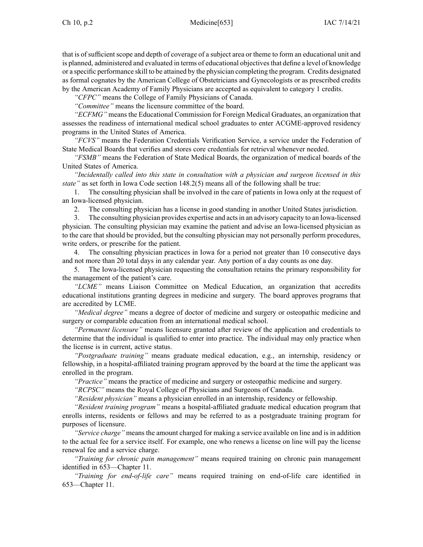that is of sufficient scope and depth of coverage of a subject area or theme to form an educational unit and is planned, administered and evaluated in terms of educational objectives that define a level of knowledge or <sup>a</sup> specific performance skill to be attained by the physician completing the program. Credits designated as formal cognates by the American College of Obstetricians and Gynecologists or as prescribed credits by the American Academy of Family Physicians are accepted as equivalent to category 1 credits.

*"CFPC"* means the College of Family Physicians of Canada.

*"Committee"* means the licensure committee of the board.

*"ECFMG"* means the Educational Commission for Foreign Medical Graduates, an organization that assesses the readiness of international medical school graduates to enter ACGME-approved residency programs in the United States of America.

*"FCVS"* means the Federation Credentials Verification Service, <sup>a</sup> service under the Federation of State Medical Boards that verifies and stores core credentials for retrieval whenever needed.

*"FSMB"* means the Federation of State Medical Boards, the organization of medical boards of the United States of America.

*"Incidentally called into this state in consultation with <sup>a</sup> physician and surgeon licensed in this state"* as set forth in Iowa Code section [148.2\(5\)](https://www.legis.iowa.gov/docs/ico/section/148.2.pdf) means all of the following shall be true:

1. The consulting physician shall be involved in the care of patients in Iowa only at the reques<sup>t</sup> of an Iowa-licensed physician.

2. The consulting physician has <sup>a</sup> license in good standing in another United States jurisdiction.

3. The consulting physician provides expertise and actsin an advisory capacity to an Iowa-licensed physician. The consulting physician may examine the patient and advise an Iowa-licensed physician as to the care that should be provided, but the consulting physician may not personally perform procedures, write orders, or prescribe for the patient.

4. The consulting physician practices in Iowa for <sup>a</sup> period not greater than 10 consecutive days and not more than 20 total days in any calendar year. Any portion of <sup>a</sup> day counts as one day.

5. The Iowa-licensed physician requesting the consultation retains the primary responsibility for the managemen<sup>t</sup> of the patient's care.

*"LCME"* means Liaison Committee on Medical Education, an organization that accredits educational institutions granting degrees in medicine and surgery. The board approves programs that are accredited by LCME.

*"Medical degree"* means <sup>a</sup> degree of doctor of medicine and surgery or osteopathic medicine and surgery or comparable education from an international medical school.

*"Permanent licensure"* means licensure granted after review of the application and credentials to determine that the individual is qualified to enter into practice. The individual may only practice when the license is in current, active status.

*"Postgraduate training"* means graduate medical education, e.g., an internship, residency or fellowship, in <sup>a</sup> hospital-affiliated training program approved by the board at the time the applicant was enrolled in the program.

*"Practice"* means the practice of medicine and surgery or osteopathic medicine and surgery.

*"RCPSC"* means the Royal College of Physicians and Surgeons of Canada.

*"Resident physician"* means <sup>a</sup> physician enrolled in an internship, residency or fellowship.

*"Resident training program"* means <sup>a</sup> hospital-affiliated graduate medical education program that enrolls interns, residents or fellows and may be referred to as <sup>a</sup> postgraduate training program for purposes of licensure.

*"Service charge"* means the amount charged for making <sup>a</sup> service available on line and is in addition to the actual fee for <sup>a</sup> service itself. For example, one who renews <sup>a</sup> license on line will pay the license renewal fee and <sup>a</sup> service charge.

*"Training for chronic pain management"* means required training on chronic pain managemen<sup>t</sup> identified in [653—Chapter](https://www.legis.iowa.gov/docs/iac/chapter/653.11.pdf) 11.

*"Training for end-of-life care"* means required training on end-of-life care identified in [653—Chapter](https://www.legis.iowa.gov/docs/iac/chapter/653.11.pdf) 11.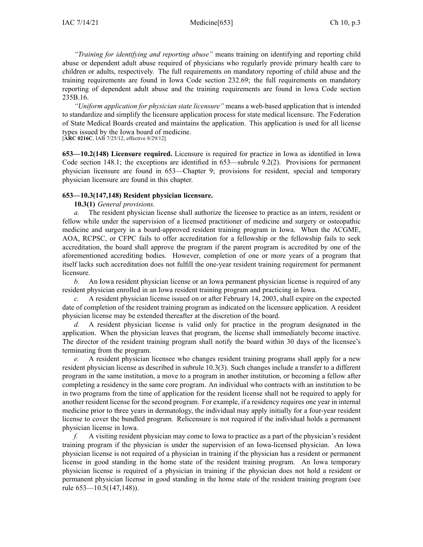*"Training for identifying and reporting abuse"* means training on identifying and reporting child abuse or dependent adult abuse required of physicians who regularly provide primary health care to children or adults, respectively. The full requirements on mandatory reporting of child abuse and the training requirements are found in Iowa Code section [232.69](https://www.legis.iowa.gov/docs/ico/section/232.69.pdf); the full requirements on mandatory reporting of dependent adult abuse and the training requirements are found in Iowa Code section [235B.16](https://www.legis.iowa.gov/docs/ico/section/235B.16.pdf).

*"Uniform application for physician state licensure"* means <sup>a</sup> web-based application that is intended to standardize and simplify the licensure application process for state medical licensure. The Federation of State Medical Boards created and maintains the application. This application is used for all license types issued by the Iowa board of medicine.

[**ARC [0216C](https://www.legis.iowa.gov/docs/aco/arc/0216C.pdf)**, IAB 7/25/12, effective 8/29/12]

**653—10.2(148) Licensure required.** Licensure is required for practice in Iowa as identified in Iowa Code section [148.1](https://www.legis.iowa.gov/docs/ico/section/148.1.pdf); the exceptions are identified in [653—subrule](https://www.legis.iowa.gov/docs/iac/rule/653.9.2.pdf) 9.2(2). Provisions for permanen<sup>t</sup> physician licensure are found in [653—Chapter](https://www.legis.iowa.gov/docs/iac/chapter/653.9.pdf) 9; provisions for resident, special and temporary physician licensure are found in this chapter.

## **653—10.3(147,148) Resident physician licensure.**

**10.3(1)** *General provisions.*

*a.* The resident physician license shall authorize the licensee to practice as an intern, resident or fellow while under the supervision of <sup>a</sup> licensed practitioner of medicine and surgery or osteopathic medicine and surgery in <sup>a</sup> board-approved resident training program in Iowa. When the ACGME, AOA, RCPSC, or CFPC fails to offer accreditation for <sup>a</sup> fellowship or the fellowship fails to seek accreditation, the board shall approve the program if the paren<sup>t</sup> program is accredited by one of the aforementioned accrediting bodies. However, completion of one or more years of <sup>a</sup> program that itself lacks such accreditation does not fulfill the one-year resident training requirement for permanen<sup>t</sup> licensure.

*b.* An Iowa resident physician license or an Iowa permanen<sup>t</sup> physician license is required of any resident physician enrolled in an Iowa resident training program and practicing in Iowa.

*c.* A resident physician license issued on or after February 14, 2003, shall expire on the expected date of completion of the resident training program as indicated on the licensure application. A resident physician license may be extended thereafter at the discretion of the board.

*d.* A resident physician license is valid only for practice in the program designated in the application. When the physician leaves that program, the license shall immediately become inactive. The director of the resident training program shall notify the board within 30 days of the licensee's terminating from the program.

*e.* A resident physician licensee who changes resident training programs shall apply for <sup>a</sup> new resident physician license as described in subrule [10.3\(3\)](https://www.legis.iowa.gov/docs/iac/rule/653.10.3.pdf). Such changes include <sup>a</sup> transfer to <sup>a</sup> different program in the same institution, <sup>a</sup> move to <sup>a</sup> program in another institution, or becoming <sup>a</sup> fellow after completing <sup>a</sup> residency in the same core program. An individual who contracts with an institution to be in two programs from the time of application for the resident license shall not be required to apply for another resident license for the second program. For example, if <sup>a</sup> residency requires one year in internal medicine prior to three years in dermatology, the individual may apply initially for <sup>a</sup> four-year resident license to cover the bundled program. Relicensure is not required if the individual holds <sup>a</sup> permanen<sup>t</sup> physician license in Iowa.

*f.* A visiting resident physician may come to Iowa to practice as <sup>a</sup> par<sup>t</sup> of the physician's resident training program if the physician is under the supervision of an Iowa-licensed physician. An Iowa physician license is not required of <sup>a</sup> physician in training if the physician has <sup>a</sup> resident or permanen<sup>t</sup> license in good standing in the home state of the resident training program. An Iowa temporary physician license is required of <sup>a</sup> physician in training if the physician does not hold <sup>a</sup> resident or permanen<sup>t</sup> physician license in good standing in the home state of the resident training program (see rule [653—10.5\(147,148\)](https://www.legis.iowa.gov/docs/iac/rule/653.10.5.pdf)).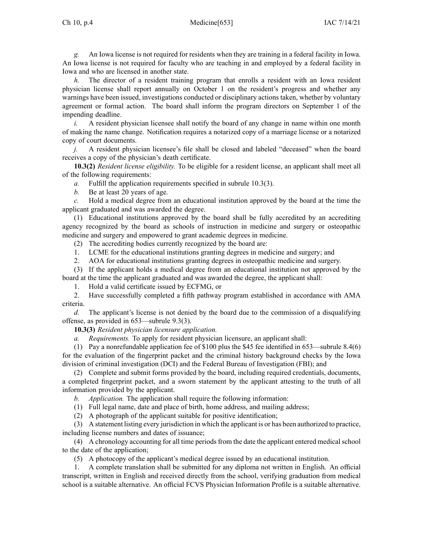Ch 10, p.4 Medicine[653] **IAC** 7/14/21

*g.* An Iowa license is not required for residents when they are training in <sup>a</sup> federal facility in Iowa. An Iowa license is not required for faculty who are teaching in and employed by <sup>a</sup> federal facility in Iowa and who are licensed in another state.

*h.* The director of a resident training program that enrolls a resident with an Iowa resident physician license shall repor<sup>t</sup> annually on October 1 on the resident's progress and whether any warnings have been issued, investigations conducted or disciplinary actions taken, whether by voluntary agreemen<sup>t</sup> or formal action. The board shall inform the program directors on September 1 of the impending deadline.

*i.* A resident physician licensee shall notify the board of any change in name within one month of making the name change. Notification requires <sup>a</sup> notarized copy of <sup>a</sup> marriage license or <sup>a</sup> notarized copy of court documents.

*j.* A resident physician licensee's file shall be closed and labeled "deceased" when the board receives <sup>a</sup> copy of the physician's death certificate.

**10.3(2)** *Resident license eligibility.* To be eligible for <sup>a</sup> resident license, an applicant shall meet all of the following requirements:

*a.* Fulfill the application requirements specified in subrule [10.3\(3\)](https://www.legis.iowa.gov/docs/iac/rule/653.10.3.pdf).

*b.* Be at least 20 years of age.

*c.* Hold <sup>a</sup> medical degree from an educational institution approved by the board at the time the applicant graduated and was awarded the degree.

(1) Educational institutions approved by the board shall be fully accredited by an accrediting agency recognized by the board as schools of instruction in medicine and surgery or osteopathic medicine and surgery and empowered to gran<sup>t</sup> academic degrees in medicine.

(2) The accrediting bodies currently recognized by the board are:

1. LCME for the educational institutions granting degrees in medicine and surgery; and

2. AOA for educational institutions granting degrees in osteopathic medicine and surgery.

(3) If the applicant holds <sup>a</sup> medical degree from an educational institution not approved by the board at the time the applicant graduated and was awarded the degree, the applicant shall:

1. Hold <sup>a</sup> valid certificate issued by ECFMG, or

2. Have successfully completed <sup>a</sup> fifth pathway program established in accordance with AMA criteria.

*d.* The applicant's license is not denied by the board due to the commission of <sup>a</sup> disqualifying offense, as provided in [653—subrule](https://www.legis.iowa.gov/docs/iac/rule/653.9.3.pdf) 9.3(3).

**10.3(3)** *Resident physician licensure application.*

*a. Requirements.* To apply for resident physician licensure, an applicant shall:

(1) Pay <sup>a</sup> nonrefundable application fee of \$100 plus the \$45 fee identified in [653—subrule](https://www.legis.iowa.gov/docs/iac/rule/653.8.4.pdf) 8.4(6) for the evaluation of the fingerprint packet and the criminal history background checks by the Iowa division of criminal investigation (DCI) and the Federal Bureau of Investigation (FBI); and

(2) Complete and submit forms provided by the board, including required credentials, documents, <sup>a</sup> completed fingerprint packet, and <sup>a</sup> sworn statement by the applicant attesting to the truth of all information provided by the applicant.

*b. Application.* The application shall require the following information:

(1) Full legal name, date and place of birth, home address, and mailing address;

(2) A photograph of the applicant suitable for positive identification;

(3) A statement listing every jurisdiction in which the applicant is or has been authorized to practice, including license numbers and dates of issuance;

(4) A chronology accounting for all time periods from the date the applicant entered medical school to the date of the application;

(5) A photocopy of the applicant's medical degree issued by an educational institution.

1. A complete translation shall be submitted for any diploma not written in English. An official transcript, written in English and received directly from the school, verifying graduation from medical school is <sup>a</sup> suitable alternative. An official FCVS Physician Information Profile is <sup>a</sup> suitable alternative.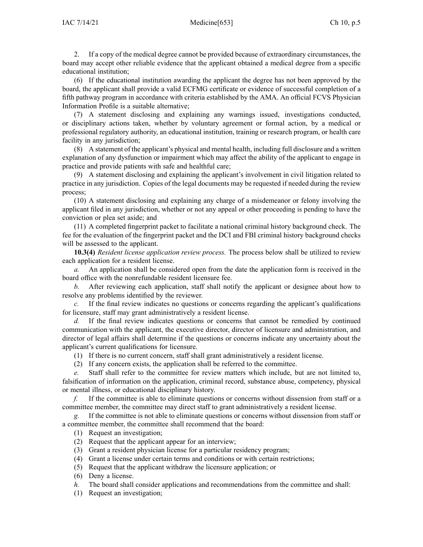2. If <sup>a</sup> copy of the medical degree cannot be provided because of extraordinary circumstances, the board may accep<sup>t</sup> other reliable evidence that the applicant obtained <sup>a</sup> medical degree from <sup>a</sup> specific educational institution;

(6) If the educational institution awarding the applicant the degree has not been approved by the board, the applicant shall provide <sup>a</sup> valid ECFMG certificate or evidence of successful completion of <sup>a</sup> fifth pathway program in accordance with criteria established by the AMA. An official FCVS Physician Information Profile is <sup>a</sup> suitable alternative;

(7) A statement disclosing and explaining any warnings issued, investigations conducted, or disciplinary actions taken, whether by voluntary agreemen<sup>t</sup> or formal action, by <sup>a</sup> medical or professional regulatory authority, an educational institution, training or research program, or health care facility in any jurisdiction;

(8) A statement of the applicant's physical and mental health, including full disclosure and <sup>a</sup> written explanation of any dysfunction or impairment which may affect the ability of the applicant to engage in practice and provide patients with safe and healthful care;

(9) A statement disclosing and explaining the applicant's involvement in civil litigation related to practice in any jurisdiction. Copies of the legal documents may be requested if needed during the review process;

(10) A statement disclosing and explaining any charge of <sup>a</sup> misdemeanor or felony involving the applicant filed in any jurisdiction, whether or not any appeal or other proceeding is pending to have the conviction or plea set aside; and

(11) A completed fingerprint packet to facilitate <sup>a</sup> national criminal history background check. The fee for the evaluation of the fingerprint packet and the DCI and FBI criminal history background checks will be assessed to the applicant.

**10.3(4)** *Resident license application review process.* The process below shall be utilized to review each application for <sup>a</sup> resident license.

*a.* An application shall be considered open from the date the application form is received in the board office with the nonrefundable resident licensure fee.

*b.* After reviewing each application, staff shall notify the applicant or designee about how to resolve any problems identified by the reviewer.

*c.* If the final review indicates no questions or concerns regarding the applicant's qualifications for licensure, staff may gran<sup>t</sup> administratively <sup>a</sup> resident license.

*d.* If the final review indicates questions or concerns that cannot be remedied by continued communication with the applicant, the executive director, director of licensure and administration, and director of legal affairs shall determine if the questions or concerns indicate any uncertainty about the applicant's current qualifications for licensure.

- (1) If there is no current concern, staff shall gran<sup>t</sup> administratively <sup>a</sup> resident license.
- (2) If any concern exists, the application shall be referred to the committee.

*e.* Staff shall refer to the committee for review matters which include, but are not limited to, falsification of information on the application, criminal record, substance abuse, competency, physical or mental illness, or educational disciplinary history.

*f.* If the committee is able to eliminate questions or concerns without dissension from staff or <sup>a</sup> committee member, the committee may direct staff to gran<sup>t</sup> administratively <sup>a</sup> resident license.

*g.* If the committee is not able to eliminate questions or concerns without dissension from staff or <sup>a</sup> committee member, the committee shall recommend that the board:

- (1) Request an investigation;
- (2) Request that the applicant appear for an interview;
- (3) Grant <sup>a</sup> resident physician license for <sup>a</sup> particular residency program;
- (4) Grant <sup>a</sup> license under certain terms and conditions or with certain restrictions;
- (5) Request that the applicant withdraw the licensure application; or
- (6) Deny <sup>a</sup> license.
- *h.* The board shall consider applications and recommendations from the committee and shall:
- (1) Request an investigation;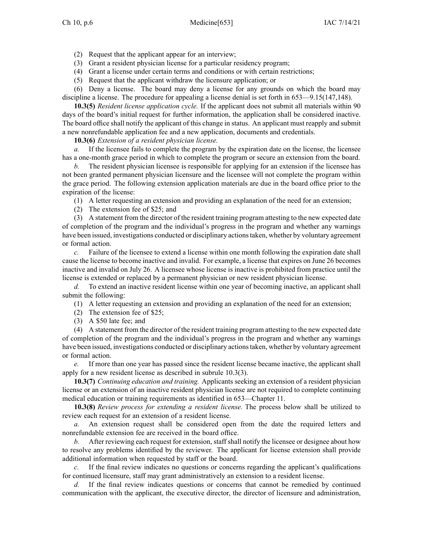- (2) Request that the applicant appear for an interview;
- (3) Grant <sup>a</sup> resident physician license for <sup>a</sup> particular residency program;
- (4) Grant <sup>a</sup> license under certain terms and conditions or with certain restrictions;
- (5) Request that the applicant withdraw the licensure application; or

(6) Deny <sup>a</sup> license. The board may deny <sup>a</sup> license for any grounds on which the board may discipline <sup>a</sup> license. The procedure for appealing <sup>a</sup> license denial is set forth in [653—9.15](https://www.legis.iowa.gov/docs/iac/rule/653.9.15.pdf)(147,148).

**10.3(5)** *Resident license application cycle.* If the applicant does not submit all materials within 90 days of the board's initial reques<sup>t</sup> for further information, the application shall be considered inactive. The board office shall notify the applicant of this change in status. An applicant must reapply and submit <sup>a</sup> new nonrefundable application fee and <sup>a</sup> new application, documents and credentials.

**10.3(6)** *Extension of <sup>a</sup> resident physician license.*

*a.* If the licensee fails to complete the program by the expiration date on the license, the licensee has <sup>a</sup> one-month grace period in which to complete the program or secure an extension from the board.

*b.* The resident physician licensee is responsible for applying for an extension if the licensee has not been granted permanen<sup>t</sup> physician licensure and the licensee will not complete the program within the grace period. The following extension application materials are due in the board office prior to the expiration of the license:

- (1) A letter requesting an extension and providing an explanation of the need for an extension;
- (2) The extension fee of \$25; and

(3) A statement from the director of the resident training program attesting to the new expected date of completion of the program and the individual's progress in the program and whether any warnings have been issued, investigations conducted or disciplinary actionstaken, whether by voluntary agreemen<sup>t</sup> or formal action.

*c.* Failure of the licensee to extend <sup>a</sup> license within one month following the expiration date shall cause the license to become inactive and invalid. For example, <sup>a</sup> license that expires on June 26 becomes inactive and invalid on July 26. A licensee whose license is inactive is prohibited from practice until the license is extended or replaced by <sup>a</sup> permanen<sup>t</sup> physician or new resident physician license.

*d.* To extend an inactive resident license within one year of becoming inactive, an applicant shall submit the following:

(1) A letter requesting an extension and providing an explanation of the need for an extension;

- (2) The extension fee of \$25;
- (3) A \$50 late fee; and

(4) A statement from the director of the resident training program attesting to the new expected date of completion of the program and the individual's progress in the program and whether any warnings have been issued, investigations conducted or disciplinary actionstaken, whether by voluntary agreemen<sup>t</sup> or formal action.

*e.* If more than one year has passed since the resident license became inactive, the applicant shall apply for <sup>a</sup> new resident license as described in subrule [10.3\(3\)](https://www.legis.iowa.gov/docs/iac/rule/653.10.3.pdf).

**10.3(7)** *Continuing education and training.* Applicants seeking an extension of <sup>a</sup> resident physician license or an extension of an inactive resident physician license are not required to complete continuing medical education or training requirements as identified in [653—Chapter](https://www.legis.iowa.gov/docs/iac/chapter/653.11.pdf) 11.

**10.3(8)** *Review process for extending <sup>a</sup> resident license.* The process below shall be utilized to review each reques<sup>t</sup> for an extension of <sup>a</sup> resident license.

*a.* An extension reques<sup>t</sup> shall be considered open from the date the required letters and nonrefundable extension fee are received in the board office.

*b.* After reviewing each reques<sup>t</sup> for extension, staff shall notify the licensee or designee about how to resolve any problems identified by the reviewer. The applicant for license extension shall provide additional information when requested by staff or the board.

*c.* If the final review indicates no questions or concerns regarding the applicant's qualifications for continued licensure, staff may gran<sup>t</sup> administratively an extension to <sup>a</sup> resident license.

*d.* If the final review indicates questions or concerns that cannot be remedied by continued communication with the applicant, the executive director, the director of licensure and administration,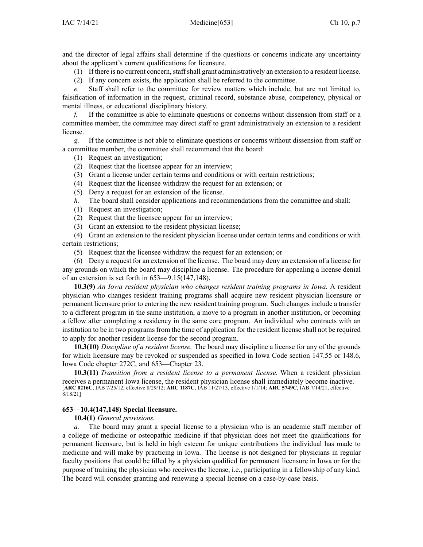and the director of legal affairs shall determine if the questions or concerns indicate any uncertainty about the applicant's current qualifications for licensure.

(1) If there is no current concern,staffshall gran<sup>t</sup> administratively an extension to <sup>a</sup> resident license.

(2) If any concern exists, the application shall be referred to the committee.

*e.* Staff shall refer to the committee for review matters which include, but are not limited to, falsification of information in the request, criminal record, substance abuse, competency, physical or mental illness, or educational disciplinary history.

*f.* If the committee is able to eliminate questions or concerns without dissension from staff or <sup>a</sup> committee member, the committee may direct staff to gran<sup>t</sup> administratively an extension to <sup>a</sup> resident license.

*g.* If the committee is not able to eliminate questions or concerns without dissension from staff or <sup>a</sup> committee member, the committee shall recommend that the board:

- (1) Request an investigation;
- (2) Request that the licensee appear for an interview;
- (3) Grant <sup>a</sup> license under certain terms and conditions or with certain restrictions;
- (4) Request that the licensee withdraw the reques<sup>t</sup> for an extension; or
- (5) Deny <sup>a</sup> reques<sup>t</sup> for an extension of the license.
- *h.* The board shall consider applications and recommendations from the committee and shall:
- (1) Request an investigation;
- (2) Request that the licensee appear for an interview;
- (3) Grant an extension to the resident physician license;

(4) Grant an extension to the resident physician license under certain terms and conditions or with certain restrictions;

(5) Request that the licensee withdraw the reques<sup>t</sup> for an extension; or

(6) Deny <sup>a</sup> reques<sup>t</sup> for an extension of the license. The board may deny an extension of <sup>a</sup> license for any grounds on which the board may discipline <sup>a</sup> license. The procedure for appealing <sup>a</sup> license denial of an extension is set forth in [653—9.15](https://www.legis.iowa.gov/docs/iac/rule/653.9.15.pdf)(147,148).

**10.3(9)** *An Iowa resident physician who changes resident training programs in Iowa.* A resident physician who changes resident training programs shall acquire new resident physician licensure or permanen<sup>t</sup> licensure prior to entering the new resident training program. Such changes include <sup>a</sup> transfer to <sup>a</sup> different program in the same institution, <sup>a</sup> move to <sup>a</sup> program in another institution, or becoming <sup>a</sup> fellow after completing <sup>a</sup> residency in the same core program. An individual who contracts with an institution to be in two programs from the time of application for the resident license shall not be required to apply for another resident license for the second program.

**10.3(10)** *Discipline of <sup>a</sup> resident license.* The board may discipline <sup>a</sup> license for any of the grounds for which licensure may be revoked or suspended as specified in Iowa Code section [147.55](https://www.legis.iowa.gov/docs/ico/section/147.55.pdf) or [148.6](https://www.legis.iowa.gov/docs/ico/section/148.6.pdf), Iowa Code chapter [272C](https://www.legis.iowa.gov/docs/ico/chapter/272C.pdf), and [653—Chapter](https://www.legis.iowa.gov/docs/iac/chapter/653.23.pdf) 23.

**10.3(11)** *Transition from <sup>a</sup> resident license to <sup>a</sup> permanen<sup>t</sup> license.* When <sup>a</sup> resident physician receives <sup>a</sup> permanen<sup>t</sup> Iowa license, the resident physician license shall immediately become inactive. [**ARC [0216C](https://www.legis.iowa.gov/docs/aco/arc/0216C.pdf)**, IAB 7/25/12, effective 8/29/12; **ARC [1187C](https://www.legis.iowa.gov/docs/aco/arc/1187C.pdf)**, IAB 11/27/13, effective 1/1/14; **ARC [5749C](https://www.legis.iowa.gov/docs/aco/arc/5749C.pdf)**, IAB 7/14/21, effective 8/18/21]

# **653—10.4(147,148) Special licensure.**

**10.4(1)** *General provisions.*

*a.* The board may gran<sup>t</sup> <sup>a</sup> special license to <sup>a</sup> physician who is an academic staff member of <sup>a</sup> college of medicine or osteopathic medicine if that physician does not meet the qualifications for permanen<sup>t</sup> licensure, but is held in high esteem for unique contributions the individual has made to medicine and will make by practicing in Iowa. The license is not designed for physicians in regular faculty positions that could be filled by <sup>a</sup> physician qualified for permanen<sup>t</sup> licensure in Iowa or for the purpose of training the physician who receives the license, i.e., participating in <sup>a</sup> fellowship of any kind. The board will consider granting and renewing <sup>a</sup> special license on <sup>a</sup> case-by-case basis.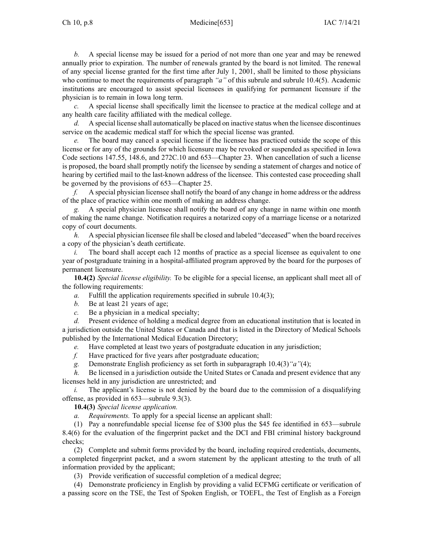*b.* A special license may be issued for <sup>a</sup> period of not more than one year and may be renewed annually prior to expiration. The number of renewals granted by the board is not limited. The renewal of any special license granted for the first time after July 1, 2001, shall be limited to those physicians who continue to meet the requirements of paragraph *"a"* of this subrule and subrule [10.4\(5\)](https://www.legis.iowa.gov/docs/iac/rule/653.10.4.pdf). Academic institutions are encouraged to assist special licensees in qualifying for permanen<sup>t</sup> licensure if the physician is to remain in Iowa long term.

*c.* A special license shall specifically limit the licensee to practice at the medical college and at any health care facility affiliated with the medical college.

*d.* A special license shall automatically be placed on inactive status when the licensee discontinues service on the academic medical staff for which the special license was granted.

*e.* The board may cancel <sup>a</sup> special license if the licensee has practiced outside the scope of this license or for any of the grounds for which licensure may be revoked or suspended as specified in Iowa Code sections [147.55](https://www.legis.iowa.gov/docs/ico/section/147.55.pdf), [148.6](https://www.legis.iowa.gov/docs/ico/section/148.6.pdf), and [272C.10](https://www.legis.iowa.gov/docs/ico/section/272C.10.pdf) and [653—Chapter](https://www.legis.iowa.gov/docs/iac/chapter/653.23.pdf) 23. When cancellation of such <sup>a</sup> license is proposed, the board shall promptly notify the licensee by sending <sup>a</sup> statement of charges and notice of hearing by certified mail to the last-known address of the licensee. This contested case proceeding shall be governed by the provisions of [653—Chapter](https://www.legis.iowa.gov/docs/iac/chapter/653.25.pdf) 25.

*f.* A special physician licensee shall notify the board of any change in home address or the address of the place of practice within one month of making an address change.

*g.* A special physician licensee shall notify the board of any change in name within one month of making the name change. Notification requires <sup>a</sup> notarized copy of <sup>a</sup> marriage license or <sup>a</sup> notarized copy of court documents.

*h.* A special physician licensee file shall be closed and labeled "deceased" when the board receives <sup>a</sup> copy of the physician's death certificate.

*i.* The board shall accept each 12 months of practice as a special licensee as equivalent to one year of postgraduate training in <sup>a</sup> hospital-affiliated program approved by the board for the purposes of permanen<sup>t</sup> licensure.

**10.4(2)** *Special license eligibility.* To be eligible for <sup>a</sup> special license, an applicant shall meet all of the following requirements:

*a.* Fulfill the application requirements specified in subrule [10.4\(3\)](https://www.legis.iowa.gov/docs/iac/rule/653.10.4.pdf);

*b.* Be at least 21 years of age;

*c.* Be <sup>a</sup> physician in <sup>a</sup> medical specialty;

*d.* Present evidence of holding <sup>a</sup> medical degree from an educational institution that is located in <sup>a</sup> jurisdiction outside the United States or Canada and that is listed in the Directory of Medical Schools published by the International Medical Education Directory;

*e.* Have completed at least two years of postgraduate education in any jurisdiction;

*f.* Have practiced for five years after postgraduate education;

*g.* Demonstrate English proficiency as set forth in subparagraph [10.4\(3\)](https://www.legis.iowa.gov/docs/iac/rule/653.10.4.pdf)*"a"*(4);

*h.* Be licensed in <sup>a</sup> jurisdiction outside the United States or Canada and presen<sup>t</sup> evidence that any licenses held in any jurisdiction are unrestricted; and

*i.* The applicant's license is not denied by the board due to the commission of a disqualifying offense, as provided in [653—subrule](https://www.legis.iowa.gov/docs/iac/rule/653.9.3.pdf) 9.3(3).

**10.4(3)** *Special license application.*

*a. Requirements.* To apply for <sup>a</sup> special license an applicant shall:

(1) Pay <sup>a</sup> nonrefundable special license fee of \$300 plus the \$45 fee identified in [653—subrule](https://www.legis.iowa.gov/docs/iac/rule/653.8.4.pdf) [8.4\(6\)](https://www.legis.iowa.gov/docs/iac/rule/653.8.4.pdf) for the evaluation of the fingerprint packet and the DCI and FBI criminal history background checks;

(2) Complete and submit forms provided by the board, including required credentials, documents, <sup>a</sup> completed fingerprint packet, and <sup>a</sup> sworn statement by the applicant attesting to the truth of all information provided by the applicant;

(3) Provide verification of successful completion of <sup>a</sup> medical degree;

(4) Demonstrate proficiency in English by providing <sup>a</sup> valid ECFMG certificate or verification of <sup>a</sup> passing score on the TSE, the Test of Spoken English, or TOEFL, the Test of English as <sup>a</sup> Foreign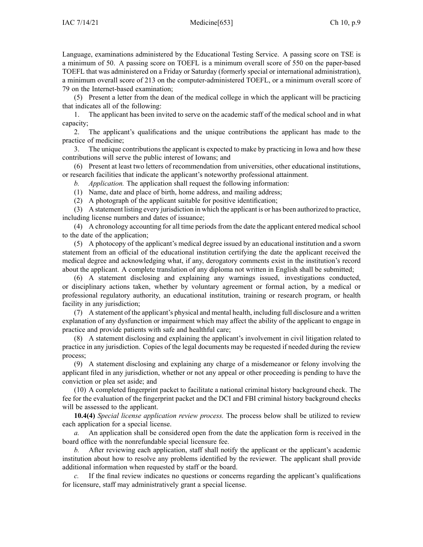Language, examinations administered by the Educational Testing Service. A passing score on TSE is <sup>a</sup> minimum of 50. A passing score on TOEFL is <sup>a</sup> minimum overall score of 550 on the paper-based TOEFL that was administered on <sup>a</sup> Friday or Saturday (formerly special or international administration), <sup>a</sup> minimum overall score of 213 on the computer-administered TOEFL, or <sup>a</sup> minimum overall score of 79 on the Internet-based examination;

(5) Present <sup>a</sup> letter from the dean of the medical college in which the applicant will be practicing that indicates all of the following:

1. The applicant has been invited to serve on the academic staff of the medical school and in what capacity;

2. The applicant's qualifications and the unique contributions the applicant has made to the practice of medicine;

3. The unique contributions the applicant is expected to make by practicing in Iowa and how these contributions will serve the public interest of Iowans; and

(6) Present at least two letters of recommendation from universities, other educational institutions, or research facilities that indicate the applicant's noteworthy professional attainment.

*b. Application.* The application shall reques<sup>t</sup> the following information:

- (1) Name, date and place of birth, home address, and mailing address;
- (2) A photograph of the applicant suitable for positive identification;

(3) A statement listing every jurisdiction in which the applicant is or has been authorized to practice, including license numbers and dates of issuance;

(4) A chronology accounting for all time periods from the date the applicant entered medical school to the date of the application;

(5) A photocopy of the applicant's medical degree issued by an educational institution and <sup>a</sup> sworn statement from an official of the educational institution certifying the date the applicant received the medical degree and acknowledging what, if any, derogatory comments exist in the institution's record about the applicant. A complete translation of any diploma not written in English shall be submitted;

(6) A statement disclosing and explaining any warnings issued, investigations conducted, or disciplinary actions taken, whether by voluntary agreemen<sup>t</sup> or formal action, by <sup>a</sup> medical or professional regulatory authority, an educational institution, training or research program, or health facility in any jurisdiction;

(7) A statement of the applicant's physical and mental health, including full disclosure and <sup>a</sup> written explanation of any dysfunction or impairment which may affect the ability of the applicant to engage in practice and provide patients with safe and healthful care;

(8) A statement disclosing and explaining the applicant's involvement in civil litigation related to practice in any jurisdiction. Copies of the legal documents may be requested if needed during the review process;

(9) A statement disclosing and explaining any charge of <sup>a</sup> misdemeanor or felony involving the applicant filed in any jurisdiction, whether or not any appeal or other proceeding is pending to have the conviction or plea set aside; and

(10) A completed fingerprint packet to facilitate <sup>a</sup> national criminal history background check. The fee for the evaluation of the fingerprint packet and the DCI and FBI criminal history background checks will be assessed to the applicant.

**10.4(4)** *Special license application review process.* The process below shall be utilized to review each application for <sup>a</sup> special license.

*a.* An application shall be considered open from the date the application form is received in the board office with the nonrefundable special licensure fee.

*b.* After reviewing each application, staff shall notify the applicant or the applicant's academic institution about how to resolve any problems identified by the reviewer. The applicant shall provide additional information when requested by staff or the board.

*c.* If the final review indicates no questions or concerns regarding the applicant's qualifications for licensure, staff may administratively gran<sup>t</sup> <sup>a</sup> special license.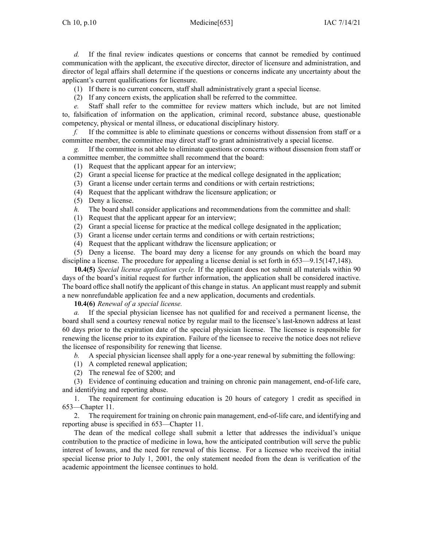*d.* If the final review indicates questions or concerns that cannot be remedied by continued communication with the applicant, the executive director, director of licensure and administration, and director of legal affairs shall determine if the questions or concerns indicate any uncertainty about the applicant's current qualifications for licensure.

- (1) If there is no current concern, staff shall administratively gran<sup>t</sup> <sup>a</sup> special license.
- (2) If any concern exists, the application shall be referred to the committee.

*e.* Staff shall refer to the committee for review matters which include, but are not limited to, falsification of information on the application, criminal record, substance abuse, questionable competency, physical or mental illness, or educational disciplinary history.

*f.* If the committee is able to eliminate questions or concerns without dissension from staff or <sup>a</sup> committee member, the committee may direct staff to gran<sup>t</sup> administratively <sup>a</sup> special license.

*g.* If the committee is not able to eliminate questions or concerns without dissension from staff or <sup>a</sup> committee member, the committee shall recommend that the board:

(1) Request that the applicant appear for an interview;

- (2) Grant <sup>a</sup> special license for practice at the medical college designated in the application;
- (3) Grant <sup>a</sup> license under certain terms and conditions or with certain restrictions;
- (4) Request that the applicant withdraw the licensure application; or
- (5) Deny <sup>a</sup> license.
- *h.* The board shall consider applications and recommendations from the committee and shall:
- (1) Request that the applicant appear for an interview;
- (2) Grant <sup>a</sup> special license for practice at the medical college designated in the application;
- (3) Grant <sup>a</sup> license under certain terms and conditions or with certain restrictions;
- (4) Request that the applicant withdraw the licensure application; or

(5) Deny <sup>a</sup> license. The board may deny <sup>a</sup> license for any grounds on which the board may discipline <sup>a</sup> license. The procedure for appealing <sup>a</sup> license denial is set forth in [653—9.15\(147,148\)](https://www.legis.iowa.gov/docs/iac/rule/653.9.15.pdf).

**10.4(5)** *Special license application cycle.* If the applicant does not submit all materials within 90 days of the board's initial reques<sup>t</sup> for further information, the application shall be considered inactive. The board office shall notify the applicant of this change in status. An applicant must reapply and submit <sup>a</sup> new nonrefundable application fee and <sup>a</sup> new application, documents and credentials.

**10.4(6)** *Renewal of <sup>a</sup> special license.*

*a.* If the special physician licensee has not qualified for and received <sup>a</sup> permanen<sup>t</sup> license, the board shall send <sup>a</sup> courtesy renewal notice by regular mail to the licensee's last-known address at least 60 days prior to the expiration date of the special physician license. The licensee is responsible for renewing the license prior to its expiration. Failure of the licensee to receive the notice does not relieve the licensee of responsibility for renewing that license.

*b.* A special physician licensee shall apply for <sup>a</sup> one-year renewal by submitting the following:

- (1) A completed renewal application;
- (2) The renewal fee of \$200; and

(3) Evidence of continuing education and training on chronic pain management, end-of-life care, and identifying and reporting abuse.

1. The requirement for continuing education is 20 hours of category 1 credit as specified in 653—Chapter 11.

2. The requirement for training on chronic pain management, end-of-life care, and identifying and reporting abuse is specified in 653—Chapter 11.

The dean of the medical college shall submit <sup>a</sup> letter that addresses the individual's unique contribution to the practice of medicine in Iowa, how the anticipated contribution will serve the public interest of Iowans, and the need for renewal of this license. For <sup>a</sup> licensee who received the initial special license prior to July 1, 2001, the only statement needed from the dean is verification of the academic appointment the licensee continues to hold.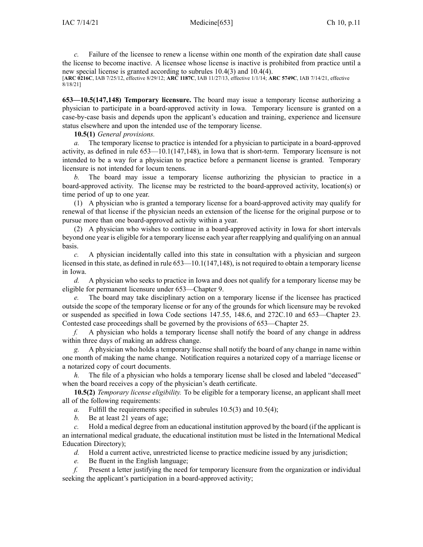*c.* Failure of the licensee to renew <sup>a</sup> license within one month of the expiration date shall cause the license to become inactive. A licensee whose license is inactive is prohibited from practice until <sup>a</sup> new special license is granted according to subrules [10.4\(3\)](https://www.legis.iowa.gov/docs/iac/rule/653.10.4.pdf) and [10.4\(4\)](https://www.legis.iowa.gov/docs/iac/rule/653.10.4.pdf).

[**ARC [0216C](https://www.legis.iowa.gov/docs/aco/arc/0216C.pdf)**, IAB 7/25/12, effective 8/29/12; **ARC [1187C](https://www.legis.iowa.gov/docs/aco/arc/1187C.pdf)**, IAB 11/27/13, effective 1/1/14; **ARC [5749C](https://www.legis.iowa.gov/docs/aco/arc/5749C.pdf)**, IAB 7/14/21, effective 8/18/21]

**653—10.5(147,148) Temporary licensure.** The board may issue <sup>a</sup> temporary license authorizing <sup>a</sup> physician to participate in <sup>a</sup> board-approved activity in Iowa. Temporary licensure is granted on <sup>a</sup> case-by-case basis and depends upon the applicant's education and training, experience and licensure status elsewhere and upon the intended use of the temporary license.

**10.5(1)** *General provisions.*

*a.* The temporary license to practice is intended for <sup>a</sup> physician to participate in <sup>a</sup> board-approved activity, as defined in rule [653—10.1\(147,148\)](https://www.legis.iowa.gov/docs/iac/rule/653.10.1.pdf), in Iowa that is short-term. Temporary licensure is not intended to be <sup>a</sup> way for <sup>a</sup> physician to practice before <sup>a</sup> permanen<sup>t</sup> license is granted. Temporary licensure is not intended for locum tenens.

*b.* The board may issue <sup>a</sup> temporary license authorizing the physician to practice in <sup>a</sup> board-approved activity. The license may be restricted to the board-approved activity, location(s) or time period of up to one year.

(1) A physician who is granted <sup>a</sup> temporary license for <sup>a</sup> board-approved activity may qualify for renewal of that license if the physician needs an extension of the license for the original purpose or to pursue more than one board-approved activity within <sup>a</sup> year.

(2) A physician who wishes to continue in <sup>a</sup> board-approved activity in Iowa for short intervals beyond one year is eligible for <sup>a</sup> temporary license each year after reapplying and qualifying on an annual basis.

*c.* A physician incidentally called into this state in consultation with <sup>a</sup> physician and surgeon licensed in this state, as defined in rule [653—10.1\(147,148\)](https://www.legis.iowa.gov/docs/iac/rule/653.10.1.pdf), is not required to obtain a temporary license in Iowa.

*d.* A physician who seeks to practice in Iowa and does not qualify for <sup>a</sup> temporary license may be eligible for permanen<sup>t</sup> licensure under [653—Chapter](https://www.legis.iowa.gov/docs/iac/chapter/653.9.pdf) 9.

The board may take disciplinary action on a temporary license if the licensee has practiced outside the scope of the temporary license or for any of the grounds for which licensure may be revoked or suspended as specified in Iowa Code sections [147.55](https://www.legis.iowa.gov/docs/ico/section/147.55.pdf), [148.6](https://www.legis.iowa.gov/docs/ico/section/148.6.pdf), and [272C.10](https://www.legis.iowa.gov/docs/ico/section/272C.10.pdf) and [653—Chapter](https://www.legis.iowa.gov/docs/iac/chapter/653.23.pdf) 23. Contested case proceedings shall be governed by the provisions of [653—Chapter](https://www.legis.iowa.gov/docs/iac/chapter/653.25.pdf) 25.

*f.* A physician who holds <sup>a</sup> temporary license shall notify the board of any change in address within three days of making an address change.

*g.* A physician who holds <sup>a</sup> temporary license shall notify the board of any change in name within one month of making the name change. Notification requires <sup>a</sup> notarized copy of <sup>a</sup> marriage license or <sup>a</sup> notarized copy of court documents.

The file of a physician who holds a temporary license shall be closed and labeled "deceased" when the board receives <sup>a</sup> copy of the physician's death certificate.

**10.5(2)** *Temporary license eligibility.* To be eligible for <sup>a</sup> temporary license, an applicant shall meet all of the following requirements:

- *a.* Fulfill the requirements specified in subrules [10.5\(3\)](https://www.legis.iowa.gov/docs/iac/rule/653.10.5.pdf) and [10.5\(4\)](https://www.legis.iowa.gov/docs/iac/rule/653.10.5.pdf);
- *b.* Be at least 21 years of age;

*c.* Hold <sup>a</sup> medical degree from an educational institution approved by the board (if the applicant is an international medical graduate, the educational institution must be listed in the International Medical Education Directory);

*d.* Hold <sup>a</sup> current active, unrestricted license to practice medicine issued by any jurisdiction;

*e.* Be fluent in the English language;

*f.* Present <sup>a</sup> letter justifying the need for temporary licensure from the organization or individual seeking the applicant's participation in <sup>a</sup> board-approved activity;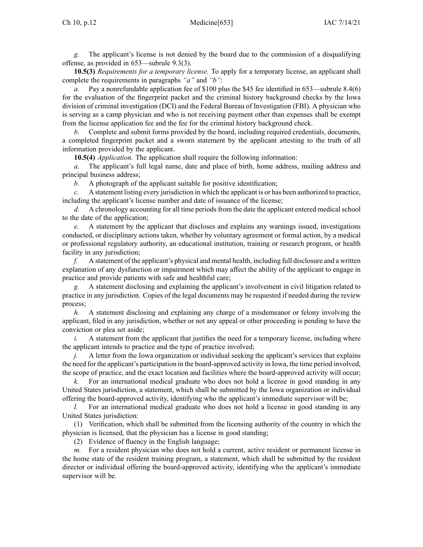*g.* The applicant's license is not denied by the board due to the commission of <sup>a</sup> disqualifying offense, as provided in [653—subrule](https://www.legis.iowa.gov/docs/iac/rule/653.9.3.pdf) 9.3(3).

**10.5(3)** *Requirements for <sup>a</sup> temporary license.* To apply for <sup>a</sup> temporary license, an applicant shall complete the requirements in paragraphs *"a"* and *"b"*:

*a.* Pay <sup>a</sup> nonrefundable application fee of \$100 plus the \$45 fee identified in [653—subrule](https://www.legis.iowa.gov/docs/iac/rule/653.8.4.pdf) 8.4(6) for the evaluation of the fingerprint packet and the criminal history background checks by the Iowa division of criminal investigation (DCI) and the Federal Bureau of Investigation (FBI). A physician who is serving as <sup>a</sup> camp physician and who is not receiving paymen<sup>t</sup> other than expenses shall be exemp<sup>t</sup> from the license application fee and the fee for the criminal history background check.

*b.* Complete and submit forms provided by the board, including required credentials, documents, <sup>a</sup> completed fingerprint packet and <sup>a</sup> sworn statement by the applicant attesting to the truth of all information provided by the applicant.

**10.5(4)** *Application.* The application shall require the following information:

*a.* The applicant's full legal name, date and place of birth, home address, mailing address and principal business address;

*b.* A photograph of the applicant suitable for positive identification;

*c.* A statement listing every jurisdiction in which the applicant is or has been authorized to practice, including the applicant's license number and date of issuance of the license;

*d.* A chronology accounting for all time periodsfrom the date the applicant entered medicalschool to the date of the application;

*e.* A statement by the applicant that discloses and explains any warnings issued, investigations conducted, or disciplinary actions taken, whether by voluntary agreemen<sup>t</sup> or formal action, by <sup>a</sup> medical or professional regulatory authority, an educational institution, training or research program, or health facility in any jurisdiction;

*f.* A statement of the applicant's physical and mental health, including full disclosure and <sup>a</sup> written explanation of any dysfunction or impairment which may affect the ability of the applicant to engage in practice and provide patients with safe and healthful care;

*g.* A statement disclosing and explaining the applicant's involvement in civil litigation related to practice in any jurisdiction. Copies of the legal documents may be requested if needed during the review process;

*h.* A statement disclosing and explaining any charge of <sup>a</sup> misdemeanor or felony involving the applicant, filed in any jurisdiction, whether or not any appeal or other proceeding is pending to have the conviction or plea set aside;

*i.* A statement from the applicant that justifies the need for a temporary license, including where the applicant intends to practice and the type of practice involved;

*j.* A letter from the Iowa organization or individual seeking the applicant's services that explains the need for the applicant's participation in the board-approved activity in Iowa, the time period involved, the scope of practice, and the exact location and facilities where the board-approved activity will occur;

*k.* For an international medical graduate who does not hold <sup>a</sup> license in good standing in any United States jurisdiction, <sup>a</sup> statement, which shall be submitted by the Iowa organization or individual offering the board-approved activity, identifying who the applicant's immediate supervisor will be;

*l.* For an international medical graduate who does not hold a license in good standing in any United States jurisdiction:

(1) Verification, which shall be submitted from the licensing authority of the country in which the physician is licensed, that the physician has <sup>a</sup> license in good standing;

(2) Evidence of fluency in the English language;

*m.* For a resident physician who does not hold a current, active resident or permanent license in the home state of the resident training program, <sup>a</sup> statement, which shall be submitted by the resident director or individual offering the board-approved activity, identifying who the applicant's immediate supervisor will be.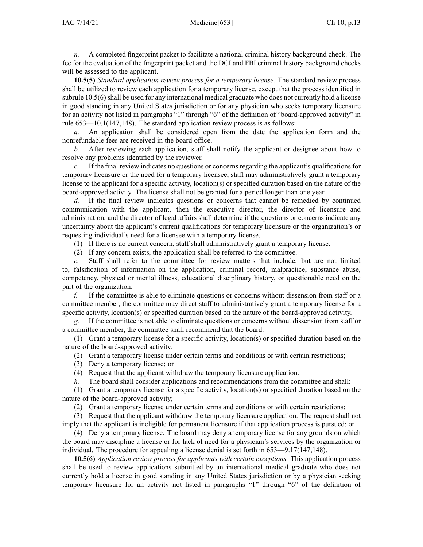*n.* A completed fingerprint packet to facilitate <sup>a</sup> national criminal history background check. The fee for the evaluation of the fingerprint packet and the DCI and FBI criminal history background checks will be assessed to the applicant.

**10.5(5)** *Standard application review process for <sup>a</sup> temporary license.* The standard review process shall be utilized to review each application for <sup>a</sup> temporary license, excep<sup>t</sup> that the process identified in subrule [10.5\(6\)](https://www.legis.iowa.gov/docs/iac/rule/653.10.5.pdf) shall be used for any international medical graduate who does not currently hold a license in good standing in any United States jurisdiction or for any physician who seeks temporary licensure for an activity not listed in paragraphs "1" through "6" of the definition of "board-approved activity" in rule [653—10.1\(147,148\)](https://www.legis.iowa.gov/docs/iac/rule/653.10.1.pdf). The standard application review process is as follows:

*a.* An application shall be considered open from the date the application form and the nonrefundable fees are received in the board office.

*b.* After reviewing each application, staff shall notify the applicant or designee about how to resolve any problems identified by the reviewer.

*c.* If the final review indicates no questions or concerns regarding the applicant's qualifications for temporary licensure or the need for <sup>a</sup> temporary licensee, staff may administratively gran<sup>t</sup> <sup>a</sup> temporary license to the applicant for <sup>a</sup> specific activity, location(s) or specified duration based on the nature of the board-approved activity. The license shall not be granted for <sup>a</sup> period longer than one year.

*d.* If the final review indicates questions or concerns that cannot be remedied by continued communication with the applicant, then the executive director, the director of licensure and administration, and the director of legal affairs shall determine if the questions or concerns indicate any uncertainty about the applicant's current qualifications for temporary licensure or the organization's or requesting individual's need for <sup>a</sup> licensee with <sup>a</sup> temporary license.

(1) If there is no current concern, staff shall administratively gran<sup>t</sup> <sup>a</sup> temporary license.

(2) If any concern exists, the application shall be referred to the committee.

*e.* Staff shall refer to the committee for review matters that include, but are not limited to, falsification of information on the application, criminal record, malpractice, substance abuse, competency, physical or mental illness, educational disciplinary history, or questionable need on the par<sup>t</sup> of the organization.

*f.* If the committee is able to eliminate questions or concerns without dissension from staff or <sup>a</sup> committee member, the committee may direct staff to administratively gran<sup>t</sup> <sup>a</sup> temporary license for <sup>a</sup> specific activity, location(s) or specified duration based on the nature of the board-approved activity.

*g.* If the committee is not able to eliminate questions or concerns without dissension from staff or <sup>a</sup> committee member, the committee shall recommend that the board:

(1) Grant <sup>a</sup> temporary license for <sup>a</sup> specific activity, location(s) or specified duration based on the nature of the board-approved activity;

(2) Grant <sup>a</sup> temporary license under certain terms and conditions or with certain restrictions;

- (3) Deny <sup>a</sup> temporary license; or
- (4) Request that the applicant withdraw the temporary licensure application.

*h.* The board shall consider applications and recommendations from the committee and shall:

(1) Grant <sup>a</sup> temporary license for <sup>a</sup> specific activity, location(s) or specified duration based on the nature of the board-approved activity;

(2) Grant <sup>a</sup> temporary license under certain terms and conditions or with certain restrictions;

(3) Request that the applicant withdraw the temporary licensure application. The reques<sup>t</sup> shall not imply that the applicant is ineligible for permanen<sup>t</sup> licensure if that application process is pursued; or

(4) Deny <sup>a</sup> temporary license. The board may deny <sup>a</sup> temporary license for any grounds on which the board may discipline <sup>a</sup> license or for lack of need for <sup>a</sup> physician's services by the organization or individual. The procedure for appealing <sup>a</sup> license denial is set forth in [653—9.17](https://www.legis.iowa.gov/docs/iac/rule/653.9.17.pdf)(147,148).

**10.5(6)** *Application review process for applicants with certain exceptions.* This application process shall be used to review applications submitted by an international medical graduate who does not currently hold <sup>a</sup> license in good standing in any United States jurisdiction or by <sup>a</sup> physician seeking temporary licensure for an activity not listed in paragraphs "1" through "6" of the definition of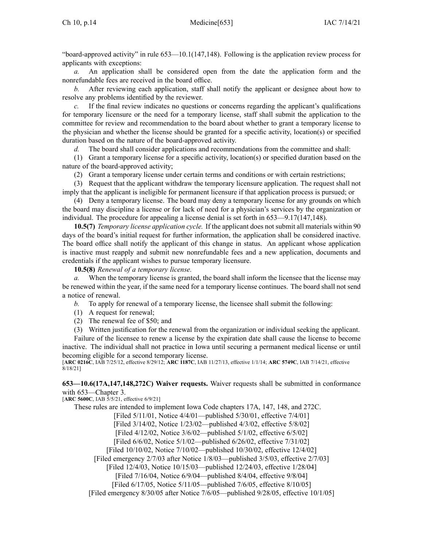"board-approved activity" in rule [653—10.1](https://www.legis.iowa.gov/docs/iac/rule/653.10.1.pdf)(147,148). Following is the application review process for applicants with exceptions:

*a.* An application shall be considered open from the date the application form and the nonrefundable fees are received in the board office.

*b.* After reviewing each application, staff shall notify the applicant or designee about how to resolve any problems identified by the reviewer.

*c.* If the final review indicates no questions or concerns regarding the applicant's qualifications for temporary licensure or the need for <sup>a</sup> temporary license, staff shall submit the application to the committee for review and recommendation to the board about whether to gran<sup>t</sup> <sup>a</sup> temporary license to the physician and whether the license should be granted for <sup>a</sup> specific activity, location(s) or specified duration based on the nature of the board-approved activity.

*d.* The board shall consider applications and recommendations from the committee and shall:

(1) Grant <sup>a</sup> temporary license for <sup>a</sup> specific activity, location(s) or specified duration based on the nature of the board-approved activity;

(2) Grant <sup>a</sup> temporary license under certain terms and conditions or with certain restrictions;

(3) Request that the applicant withdraw the temporary licensure application. The reques<sup>t</sup> shall not imply that the applicant is ineligible for permanen<sup>t</sup> licensure if that application process is pursued; or

(4) Deny <sup>a</sup> temporary license. The board may deny <sup>a</sup> temporary license for any grounds on which the board may discipline <sup>a</sup> license or for lack of need for <sup>a</sup> physician's services by the organization or individual. The procedure for appealing <sup>a</sup> license denial is set forth in [653—9.17](https://www.legis.iowa.gov/docs/iac/rule/653.9.17.pdf)(147,148).

**10.5(7)** *Temporary license application cycle.* If the applicant does not submit all materials within 90 days of the board's initial reques<sup>t</sup> for further information, the application shall be considered inactive. The board office shall notify the applicant of this change in status. An applicant whose application is inactive must reapply and submit new nonrefundable fees and <sup>a</sup> new application, documents and credentials if the applicant wishes to pursue temporary licensure.

**10.5(8)** *Renewal of <sup>a</sup> temporary license.*

*a.* When the temporary license is granted, the board shall inform the licensee that the license may be renewed within the year, if the same need for <sup>a</sup> temporary license continues. The board shall not send <sup>a</sup> notice of renewal.

*b.* To apply for renewal of <sup>a</sup> temporary license, the licensee shall submit the following:

- (1) A reques<sup>t</sup> for renewal;
- (2) The renewal fee of \$50; and

(3) Written justification for the renewal from the organization or individual seeking the applicant. Failure of the licensee to renew <sup>a</sup> license by the expiration date shall cause the license to become inactive. The individual shall not practice in Iowa until securing <sup>a</sup> permanen<sup>t</sup> medical license or until becoming eligible for <sup>a</sup> second temporary license.

[**ARC [0216C](https://www.legis.iowa.gov/docs/aco/arc/0216C.pdf)**, IAB 7/25/12, effective 8/29/12; **ARC [1187C](https://www.legis.iowa.gov/docs/aco/arc/1187C.pdf)**, IAB 11/27/13, effective 1/1/14; **ARC [5749C](https://www.legis.iowa.gov/docs/aco/arc/5749C.pdf)**, IAB 7/14/21, effective 8/18/21]

**653—10.6(17A,147,148,272C) Waiver requests.** Waiver requests shall be submitted in conformance with [653—Chapter](https://www.legis.iowa.gov/docs/iac/chapter/653.3.pdf) 3.

[**ARC [5600C](https://www.legis.iowa.gov/docs/aco/arc/5600C.pdf)**, IAB 5/5/21, effective 6/9/21]

These rules are intended to implement Iowa Code chapters [17A](https://www.legis.iowa.gov/docs/ico/chapter/17A.pdf), [147](https://www.legis.iowa.gov/docs/ico/chapter/147.pdf), [148](https://www.legis.iowa.gov/docs/ico/chapter/148.pdf), and [272C](https://www.legis.iowa.gov/docs/ico/chapter/272C.pdf).

[Filed 5/11/01, Notice 4/4/01—published 5/30/01, effective 7/4/01]

[Filed 3/14/02, Notice 1/23/02—published 4/3/02, effective 5/8/02]

[Filed 4/12/02, Notice 3/6/02—published 5/1/02, effective 6/5/02]

[Filed 6/6/02, Notice 5/1/02—published 6/26/02, effective 7/31/02]

[Filed 10/10/02, Notice 7/10/02—published 10/30/02, effective 12/4/02]

[Filed emergency 2/7/03 after Notice 1/8/03—published 3/5/03, effective 2/7/03]

[Filed 12/4/03, Notice 10/15/03—published 12/24/03, effective 1/28/04]

[Filed 7/16/04, Notice 6/9/04—published 8/4/04, effective 9/8/04]

[Filed 6/17/05, Notice 5/11/05—published 7/6/05, effective 8/10/05]

[Filed emergency 8/30/05 after Notice 7/6/05—published 9/28/05, effective 10/1/05]